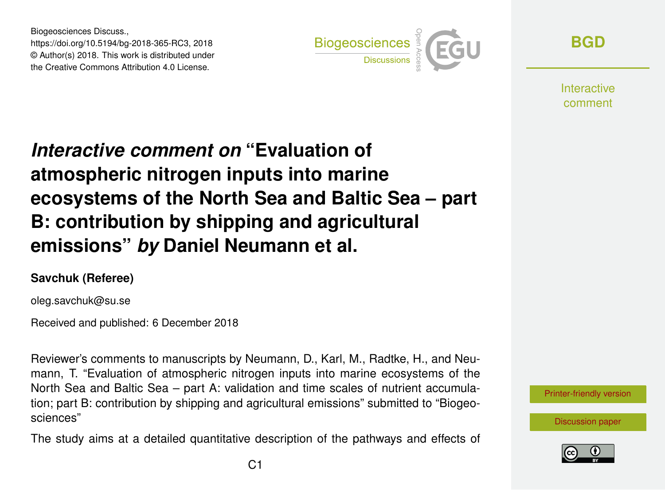Biogeosciences Discuss., https://doi.org/10.5194/bg-2018-365-RC3, 2018 © Author(s) 2018. This work is distributed under the Creative Commons Attribution 4.0 License.



**[BGD](https://www.biogeosciences-discuss.net/)**

**Interactive** comment

## *Interactive comment on* **"Evaluation of atmospheric nitrogen inputs into marine ecosystems of the North Sea and Baltic Sea – part B: contribution by shipping and agricultural emissions"** *by* **Daniel Neumann et al.**

## **Savchuk (Referee)**

oleg.savchuk@su.se

Received and published: 6 December 2018

Reviewer's comments to manuscripts by Neumann, D., Karl, M., Radtke, H., and Neumann, T. "Evaluation of atmospheric nitrogen inputs into marine ecosystems of the North Sea and Baltic Sea – part A: validation and time scales of nutrient accumulation; part B: contribution by shipping and agricultural emissions" submitted to "Biogeosciences"

The study aims at a detailed quantitative description of the pathways and effects of



[Discussion paper](https://www.biogeosciences-discuss.net/bg-2018-365)

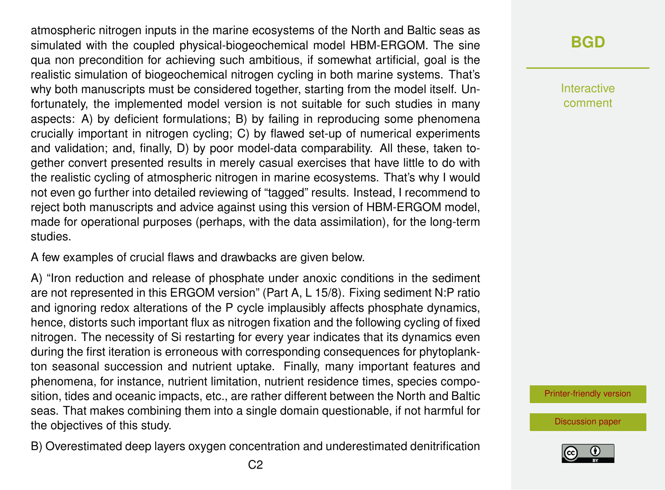atmospheric nitrogen inputs in the marine ecosystems of the North and Baltic seas as simulated with the coupled physical-biogeochemical model HBM-ERGOM. The sine qua non precondition for achieving such ambitious, if somewhat artificial, goal is the realistic simulation of biogeochemical nitrogen cycling in both marine systems. That's why both manuscripts must be considered together, starting from the model itself. Unfortunately, the implemented model version is not suitable for such studies in many aspects: A) by deficient formulations; B) by failing in reproducing some phenomena crucially important in nitrogen cycling; C) by flawed set-up of numerical experiments and validation; and, finally, D) by poor model-data comparability. All these, taken together convert presented results in merely casual exercises that have little to do with the realistic cycling of atmospheric nitrogen in marine ecosystems. That's why I would not even go further into detailed reviewing of "tagged" results. Instead, I recommend to reject both manuscripts and advice against using this version of HBM-ERGOM model, made for operational purposes (perhaps, with the data assimilation), for the long-term studies.

A few examples of crucial flaws and drawbacks are given below.

A) "Iron reduction and release of phosphate under anoxic conditions in the sediment are not represented in this ERGOM version" (Part A, L 15/8). Fixing sediment N:P ratio and ignoring redox alterations of the P cycle implausibly affects phosphate dynamics, hence, distorts such important flux as nitrogen fixation and the following cycling of fixed nitrogen. The necessity of Si restarting for every year indicates that its dynamics even during the first iteration is erroneous with corresponding consequences for phytoplankton seasonal succession and nutrient uptake. Finally, many important features and phenomena, for instance, nutrient limitation, nutrient residence times, species composition, tides and oceanic impacts, etc., are rather different between the North and Baltic seas. That makes combining them into a single domain questionable, if not harmful for the objectives of this study.

B) Overestimated deep layers oxygen concentration and underestimated denitrification

## **[BGD](https://www.biogeosciences-discuss.net/)**

Interactive comment

[Printer-friendly version](https://www.biogeosciences-discuss.net/bg-2018-365/bg-2018-365-RC3-print.pdf)

[Discussion paper](https://www.biogeosciences-discuss.net/bg-2018-365)